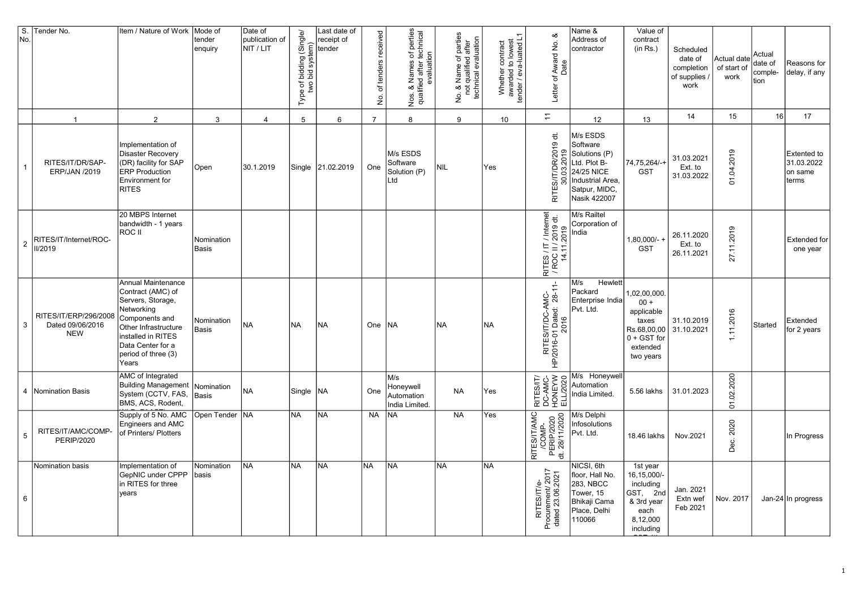| $\overline{\mathsf{S}}$ .<br>No. | Tender No.                                              | Item / Nature of Work                                                                                                                                                                           | Mode of<br>tender<br>enquiry | Date of<br>publication of<br>NIT / LIT | f bidding (Single/<br>bid system)<br>e of<br>two<br>Type | Last date of<br>receipt of<br>tender | of tenders received<br>б. | Nos. & Names of perties<br>qualified after technical<br>evaluation<br>Nos. | No. & Name of parties<br>not qualified after<br>technical evaluation<br>$\frac{\dot{\mathsf{p}}}{\mathsf{p}}$ | Whether contract<br>awarded to lowest<br>tender / eva-luated L1 | ∞<br>Letter of Award No.<br>Date                           | Name &<br>Address of<br>contractor                                                                                       | Value of<br>contract<br>(in Rs.)                                                                       | Scheduled<br>date of<br>completion<br>of supplies<br>work | Actual date<br>of start of<br>work | Actual<br>date of<br>comple-<br>tion | Reasons for<br>delay, if any                         |
|----------------------------------|---------------------------------------------------------|-------------------------------------------------------------------------------------------------------------------------------------------------------------------------------------------------|------------------------------|----------------------------------------|----------------------------------------------------------|--------------------------------------|---------------------------|----------------------------------------------------------------------------|---------------------------------------------------------------------------------------------------------------|-----------------------------------------------------------------|------------------------------------------------------------|--------------------------------------------------------------------------------------------------------------------------|--------------------------------------------------------------------------------------------------------|-----------------------------------------------------------|------------------------------------|--------------------------------------|------------------------------------------------------|
|                                  | $\overline{1}$                                          | 2                                                                                                                                                                                               | 3                            | $\overline{4}$                         | 5                                                        | 6                                    | $\overline{7}$            | 8                                                                          | 9                                                                                                             | 10 <sup>10</sup>                                                | $\overline{\overline{a}}$                                  | 12                                                                                                                       | 13                                                                                                     | 14                                                        | 15                                 | 16                                   | 17                                                   |
| $\mathbf{1}$                     | RITES/IT/DR/SAP-<br>ERP/JAN /2019                       | Implementation of<br><b>Disaster Recovery</b><br>(DR) facility for SAP<br><b>ERP Production</b><br><b>Environment</b> for<br><b>RITES</b>                                                       | Open                         | 30.1.2019                              | Single                                                   | 21.02.2019                           | One                       | M/s ESDS<br>Software<br>Solution (P)<br>Ltd                                | NIL                                                                                                           | Yes                                                             | RITES/IT/DR/2019 dt.                                       | M/s ESDS<br>Software<br>Solutions (P)<br>Ltd. Plot B-<br>24/25 NICE<br>Industrial Area,<br>Satpur, MIDC,<br>Nasik 422007 | 74,75,264/-+<br><b>GST</b>                                                                             | 31.03.2021<br>Ext. to<br>31.03.2022                       | 2019<br>\$<br>5                    |                                      | <b>Extented to</b><br>31.03.2022<br>on same<br>terms |
| $\overline{2}$                   | RITES/IT/Internet/ROC-<br>II/2019                       | 20 MBPS Internet<br>bandwidth - 1 years<br>ROC II                                                                                                                                               | Nomination<br><b>Basis</b>   |                                        |                                                          |                                      |                           |                                                                            |                                                                                                               |                                                                 | RITES / IT / Internet<br>/ ROC II / 2019 dt.<br>14.11.2019 | M/s Railtel<br>Corporation of<br>India                                                                                   | $1,80,000/-$<br><b>GST</b>                                                                             | 26.11.2020<br>Ext. to<br>26.11.2021                       | .11.2019<br>27.                    |                                      | <b>Extended for</b><br>one year                      |
| 3                                | RITES/IT/ERP/296/2008<br>Dated 09/06/2016<br><b>NEW</b> | Annual Maintenance<br>Contract (AMC) of<br>Servers, Storage,<br>Networking<br>Components and<br>Other Infrastructure<br>installed in RITES<br>Data Center for a<br>period of three (3)<br>Years | Nomination<br><b>Basis</b>   | <b>NA</b>                              | <b>NA</b>                                                | NA)                                  | One                       | <b>NA</b>                                                                  | NA                                                                                                            | NA                                                              | RITES/IT/DC-AMC-<br>HP/2016-01 Dated: 28-11-<br>2016       | Hewlett<br>M/s<br>Packard<br>Enterprise India<br>Pvt. Ltd.                                                               | 1,02,00,000.<br>$00 +$<br>applicable<br>taxes<br>Rs.68,00,00<br>$0 + GST$ for<br>extended<br>two years | 31.10.2019<br>31.10.2021                                  | 11.2016                            | Started                              | Extended<br>for 2 years                              |
|                                  | 4   Nomination Basis                                    | AMC of Integrated<br><b>Building Management</b><br>System (CCTV, FAS,<br>BMS, ACS, Rodent,                                                                                                      | Nomination<br><b>Basis</b>   | <b>NA</b>                              | Single                                                   | INA.                                 | One                       | M/s<br>Honeywell<br>Automation<br>India Limited.                           | <b>NA</b>                                                                                                     | Yes                                                             | RITES/IT/<br>DC-AMC-<br>HONEYW<br>ELL/2020                 | M/s Honeywell<br>Automation<br>India Limited.                                                                            | 5.56 lakhs                                                                                             | 31.01.2023                                                | .2020<br>ୱ<br>Σ.                   |                                      |                                                      |
| $\overline{5}$                   | RITES/IT/AMC/COMP-<br><b>PERIP/2020</b>                 | Supply of 5 No. AMC<br>Engineers and AMC<br>of Printers/ Plotters                                                                                                                               | Open Tender  NA              |                                        | <b>NA</b>                                                | <b>NA</b>                            | <b>NA</b>                 | <b>NA</b>                                                                  | <b>NA</b>                                                                                                     | Yes                                                             | RITES/IT/AMC<br>/COMP-<br>PERIP/2020<br>dt. 28/11/2020     | M/s Delphi<br>Infosolutions<br>Pvt. Ltd.                                                                                 | 18.46 lakhs                                                                                            | Nov.2021                                                  | 2020<br>ن<br>൧ഀ                    |                                      | In Progress                                          |
| 6                                | Nomination basis                                        | Implementation of<br>GepNIC under CPPP<br>in RITES for three<br>years                                                                                                                           | Nomination<br>basis          | <b>NA</b>                              | <b>NA</b>                                                | <b>NA</b>                            | <b>NA</b>                 | <b>NA</b>                                                                  | NA                                                                                                            | NA                                                              | RITES/IT/e-<br>Procurement/ 2017<br>dated 23.06.2021       | NICSI, 6th<br>floor, Hall No.<br>283, NBCC<br>Tower, 15<br>Bhikaji Cama<br>Place, Delhi<br>110066                        | 1st year<br>16,15,000/-<br>including<br>GST, 2nd<br>& 3rd year<br>each<br>8,12,000<br>including        | Jan. 2021<br>Extn wef<br>Feb 2021                         | Nov. 2017                          |                                      | Jan-24 In progress                                   |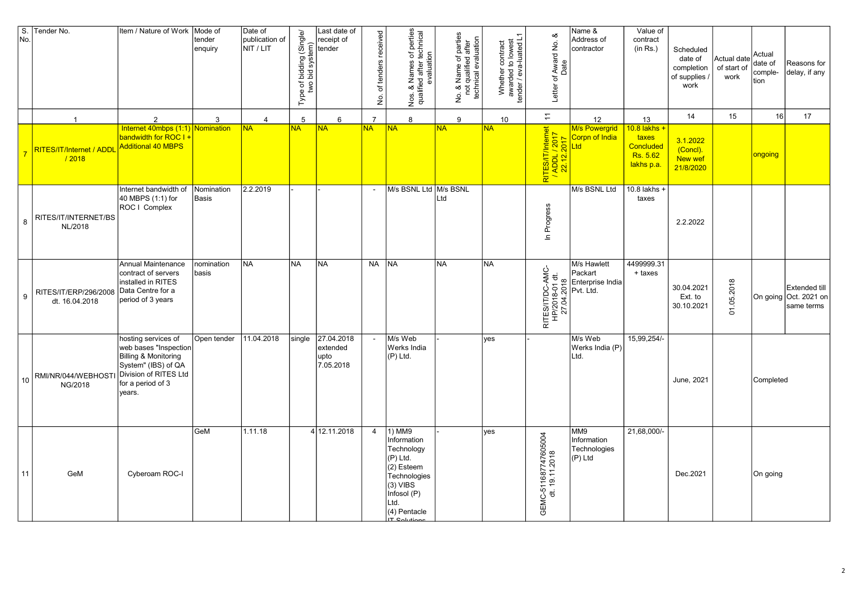| $\overline{s}$ .<br>No. | Tender No.                              | Item / Nature of Work   Mode of                                                                                                                     | tender<br>enquiry   | Date of<br>publication of<br>NIT / LIT | Type of bidding (Single/<br>two bid system) | Last date of<br>receipt of<br>tender        | No. of tenders received  | Nos. & Names of perties<br>qualified after technical<br>evaluation                                                                                           | No. & Name of parties<br>not qualified after<br>technical evaluation | Whether contract<br>awarded to lowest<br>tender / eva-luated L1 | య<br>Letter of Award No.<br>Date                  | Name &<br>Address of<br>contractor            | Value of<br>contract<br>(in Rs.)                             | Scheduled<br>date of<br>completion<br>of supplies<br>work | Actual date<br>of start of<br>work | Actual<br>date of<br>comple-<br>tion | Reasons for<br>delay, if any                                |
|-------------------------|-----------------------------------------|-----------------------------------------------------------------------------------------------------------------------------------------------------|---------------------|----------------------------------------|---------------------------------------------|---------------------------------------------|--------------------------|--------------------------------------------------------------------------------------------------------------------------------------------------------------|----------------------------------------------------------------------|-----------------------------------------------------------------|---------------------------------------------------|-----------------------------------------------|--------------------------------------------------------------|-----------------------------------------------------------|------------------------------------|--------------------------------------|-------------------------------------------------------------|
|                         | $\overline{1}$                          | 2                                                                                                                                                   | 3                   | $\overline{4}$                         | 5                                           | 6                                           | $\overline{7}$           | 8                                                                                                                                                            | 9                                                                    | 10 <sup>°</sup>                                                 | $\overline{1}$                                    | 12                                            | 13                                                           | 14                                                        | 15                                 | 16                                   | 17                                                          |
|                         | RITES/IT/Internet / ADDI<br>/2018       | Internet 40mbps (1:1)<br>bandwidth for ROC I<br>Additional 40 MBPS                                                                                  | Nomination          | <b>NA</b>                              | <b>NA</b>                                   | <b>NA</b>                                   | <b>NA</b>                | <b>NA</b>                                                                                                                                                    | <b>NA</b>                                                            | <b>NA</b>                                                       | RITES/IT/Internet<br>/ ADDL / 2017<br> 22.12.2017 | M/s Powergrid<br><mark>Corpn of India</mark>  | 10.8 lakhs +<br>taxes<br>Concluded<br>Rs. 5.62<br>lakhs p.a. | 3.1.2022<br>(Concl).<br>New wef<br>21/8/2020              |                                    | <mark>ongoing</mark>                 |                                                             |
| 8                       | RITES/IT/INTERNET/BS<br>NL/2018         | Internet bandwidth of<br>40 MBPS (1:1) for<br>ROC   Complex                                                                                         | Nomination<br>Basis | 2.2.2019                               |                                             |                                             |                          | M/s BSNL Ltd M/s BSNL                                                                                                                                        | Ltd                                                                  |                                                                 | In Progress                                       | M/s BSNL Ltd                                  | $10.8$ lakhs +<br>taxes                                      | 2.2.2022                                                  |                                    |                                      |                                                             |
| 9                       | RITES/IT/ERP/296/2008<br>dt. 16.04.2018 | Annual Maintenance<br>contract of servers<br>installed in RITES<br>Data Centre for a<br>period of 3 years                                           | nomination<br>basis | <b>NA</b>                              | INA.                                        | <b>NA</b>                                   | <b>NA</b>                | <b>INA</b>                                                                                                                                                   | <b>NA</b>                                                            | <b>NA</b>                                                       | RITES/IT/DC-AMC-<br>HP/2018-01 dt.<br>27.04.2018  | M/s Hawlett<br>Packart                        | 4499999.31<br>+ taxes                                        | 30.04.2021<br>Ext. to<br>30.10.2021                       | 01.05.2018                         |                                      | <b>Extended till</b><br>On going Oct. 2021 on<br>same terms |
| 10                      | RMI/NR/044/WEBHOST<br>NG/2018           | hosting services of<br>web bases "Inspection<br>Billing & Monitoring<br>System" (IBS) of QA<br>Division of RITES Ltd<br>for a period of 3<br>years. | Open tender         | 11.04.2018                             | single                                      | 27.04.2018<br>extended<br>upto<br>7.05.2018 | $\overline{\phantom{a}}$ | M/s Web<br>Werks India<br>$(P)$ Ltd.                                                                                                                         |                                                                      | <b>ves</b>                                                      |                                                   | M/s Web<br>Werks India (P)<br>Ltd.            | 15,99,254/-                                                  | June, 2021                                                |                                    | Completed                            |                                                             |
| 11                      | GeM                                     | Cyberoam ROC-I                                                                                                                                      | GeM                 | 1.11.18                                |                                             | 412.11.2018                                 | $\overline{4}$           | 1) MM9<br>Information<br>Technology<br>(P) Ltd.<br>$(2)$ Esteem<br>Technologies<br>$(3)$ VIBS<br>Infosol (P)<br>Ltd.<br>(4) Pentacle<br>ITC <sub>2</sub> 141 |                                                                      | yes                                                             | GEMC-511687747605004<br>dt. 19.11.2018            | MM9<br>Information<br>Technologies<br>(P) Ltd | 21,68,000/-                                                  | Dec.2021                                                  |                                    | On going                             |                                                             |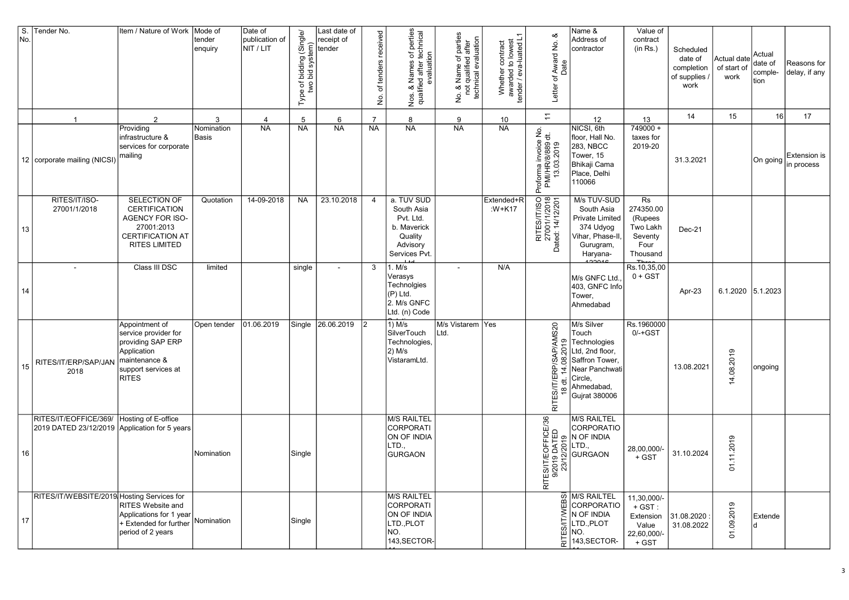| $\overline{\mathsf{S}}$ .<br>No. | Tender No.                                                             | Item / Nature of Work                                                                                                              | Mode of<br>tender<br>enquiry | Date of<br>publication of<br>NIT / LIT | f bidding (Single/<br>bid system)<br>Type of <b>I</b><br>two <b>I</b> | Last date of<br>receipt of<br>tender | of tenders received<br>б. | of perties<br>technical<br>Nos. & Names of p<br>qualified after tech<br>evaluation<br>Nos.   | parties<br>after<br>No. & Name of parties<br>not qualified after<br>technical evaluation<br>No. &<br>not o | Whether contract<br>awarded to lowest<br>tender / eva-luated L1 | య<br>Award No.<br>$\mathbf{\tilde{c}}$<br>Letter                     | Name &<br>Address of<br>contractor                                                                                                              | Value of<br>contract<br>(in Rs.)                                         | Scheduled<br>date of<br>completion<br>of supplies<br>work | Actual date<br>of start of<br>work | Actual<br>date of<br>comple-<br>tion | Reasons for<br>delay, if any               |
|----------------------------------|------------------------------------------------------------------------|------------------------------------------------------------------------------------------------------------------------------------|------------------------------|----------------------------------------|-----------------------------------------------------------------------|--------------------------------------|---------------------------|----------------------------------------------------------------------------------------------|------------------------------------------------------------------------------------------------------------|-----------------------------------------------------------------|----------------------------------------------------------------------|-------------------------------------------------------------------------------------------------------------------------------------------------|--------------------------------------------------------------------------|-----------------------------------------------------------|------------------------------------|--------------------------------------|--------------------------------------------|
|                                  | $\overline{1}$                                                         | 2                                                                                                                                  | 3                            | $\overline{4}$                         | 5                                                                     | 6                                    | $\overline{7}$            | 8                                                                                            | 9                                                                                                          | 10                                                              | $\overline{z}$                                                       | 12                                                                                                                                              | 13                                                                       | 14                                                        | 15                                 | 16                                   | 17                                         |
|                                  | 12   corporate mailing (NICSI)                                         | Providing<br>infrastructure &<br>services for corporate<br>mailing                                                                 | Nomination<br><b>Basis</b>   | <b>NA</b>                              | <b>NA</b>                                                             | <b>NA</b>                            | <b>NA</b>                 | <b>NA</b>                                                                                    | <b>NA</b>                                                                                                  | <b>NA</b>                                                       | Proforma invoice No.<br>PMI/HR/8/889 dt.<br>13.03.2019               | NICSI, 6th<br>floor, Hall No.<br>283, NBCC<br>Tower, 15<br>Bhikaji Cama<br>Place, Delhi<br>110066                                               | $749000 +$<br>taxes for<br>2019-20                                       | 31.3.2021                                                 |                                    |                                      | <b>Extension is</b><br>On going in process |
| 13                               | RITES/IT/ISO-<br>27001/1/2018                                          | SELECTION OF<br><b>CERTIFICATION</b><br>AGENCY FOR ISO-<br>27001:2013<br><b>CERTIFICATION AT</b><br><b>RITES LIMITED</b>           | Quotation                    | 14-09-2018                             | <b>NA</b>                                                             | 23.10.2018                           | 4                         | a. TUV SUD<br>South Asia<br>Pvt. Ltd.<br>b. Maverick<br>Quality<br>Advisory<br>Services Pvt. |                                                                                                            | Extended+R<br>:W+K17                                            | RITES/IT/ISO<br>27001/1/2018<br>Dated: 14/12/201                     | M/s TUV-SUD<br>South Asia<br><b>Private Limited</b><br>374 Udyog<br>Vihar, Phase-II,<br>Gurugram,<br>Haryana-                                   | Rs<br>274350.00<br>(Rupees<br>Two Lakh<br>Seventy<br>Four<br>Thousand    | Dec-21                                                    |                                    |                                      |                                            |
| 14                               |                                                                        | Class III DSC                                                                                                                      | limited                      |                                        | single                                                                |                                      | 3                         | 1. M/s<br>Verasys<br>Technolgies<br>(P) Ltd.<br>2. M/s GNFC<br>Ltd. (n) Code                 |                                                                                                            | N/A                                                             |                                                                      | M/s GNFC Ltd.<br>403, GNFC Info<br>Tower,<br>Ahmedabad                                                                                          | Rs.10,35,00<br>$0 + GST$                                                 | Apr-23                                                    | 6.1.2020 5.1.2023                  |                                      |                                            |
| 15                               | RITES/IT/ERP/SAP/JAN<br>2018                                           | Appointment of<br>service provider for<br>providing SAP ERP<br>Application<br>maintenance &<br>support services at<br><b>RITES</b> | Open tender                  | 01.06.2019                             | Single                                                                | 26.06.2019                           |                           | 1) M/s<br>SilverTouch<br>Technologies,<br>$ 2)$ M/s<br>VistaramLtd.                          | M/s Vistarem Yes<br>Ltd.                                                                                   |                                                                 | AP/AMS20<br>ରା<br>Q<br><b>RITES/IT/ERP</b>                           | M/s Silver<br>Touch<br>으 Technologies<br>Ltd, 2nd floor,<br>g Saffron Tower,<br>Near Panchwati<br>Circle,<br>Ahmedabad,<br><b>Gujrat 380006</b> | Rs.1960000<br>$0/-+GST$                                                  | 13.08.2021                                                | 08.2019<br>4                       | ongoing                              |                                            |
| 16                               | RITES/IT/EOFFICE/369/<br>2019 DATED 23/12/2019 Application for 5 years | Hosting of E-office                                                                                                                | Nomination                   |                                        | Single                                                                |                                      |                           | M/S RAILTEL<br>CORPORATI<br>ON OF INDIA<br>LTD.,<br>GURGAON                                  |                                                                                                            |                                                                 | 96<br>可<br>:S/IT/EOFFICE<br>/2019 DATED<br>23/12/2019<br>RITES<br>9/ | <b>M/S RAILTEL</b><br><b>CORPORATIO</b><br>စ္တ N OF INDIA<br>.TD.,<br><b>GURGAON</b>                                                            | 28,00,000/-<br>+ GST                                                     | 31.10.2024                                                | ၜ<br>$-201$<br>$\dot{z}$<br>5      |                                      |                                            |
| 17                               | RITES/IT/WEBSITE/2019 Hosting Services for                             | RITES Website and<br>Applications for 1 year<br>+ Extended for further<br>period of 2 years                                        | Nomination                   |                                        | Single                                                                |                                      |                           | M/S RAILTEL<br>CORPORATI<br>ON OF INDIA<br>LTD., PLOT<br>NO.<br>143, SECTOR-                 |                                                                                                            |                                                                 | 히                                                                    | $\overline{\Omega}$ M/S RAILTEL<br>Ш CORPORATIO<br>N OF INDIA<br>LTD., PLOT<br>ш́ NO.<br>143, SECTOR-                                           | 11,30,000/-<br>$+$ GST :<br>Extension<br>Value<br>22,60,000/-<br>$+$ GST | 31.08.2020<br>31.08.2022                                  | 09.2019<br>5                       | Extende<br>ld.                       |                                            |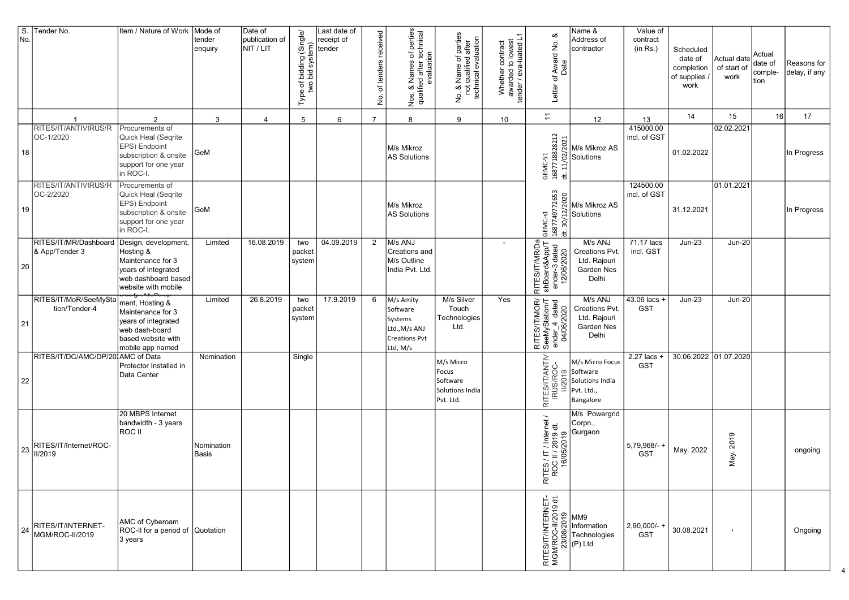| No. | S. Tender No.                           | Item / Nature of Work                                                                                                                                        | Mode of<br>tender<br>enquiry | Date of<br>publication of<br>NIT / LIT | f bidding (Single/<br>bid system)<br>Type of I<br>two I | Last date of<br>receipt of<br>tender | of tenders received<br>$\dot{\mathsf{S}}$ | k Names of perties<br>ied after technical<br>evaluation<br>Nos. & Names of<br>qualified after to<br>Nos. | No. & Name of parties<br>not qualified after<br>technical evaluation | Whether contract<br>awarded to lowest<br>tender / eva-luated L1 | య<br>Award No.<br>Date<br>Letter of                            | Name &<br>Address of<br>contractor                                                                                                                                                                                                                                                                                                  | Value of<br>contract<br>(in Rs.) | Scheduled<br>date of<br>completion<br>of supplies /<br>work | Actual date<br>of start of<br>work | Actual<br>date of<br>comple-<br>tion | Reasons for<br>delay, if any |
|-----|-----------------------------------------|--------------------------------------------------------------------------------------------------------------------------------------------------------------|------------------------------|----------------------------------------|---------------------------------------------------------|--------------------------------------|-------------------------------------------|----------------------------------------------------------------------------------------------------------|----------------------------------------------------------------------|-----------------------------------------------------------------|----------------------------------------------------------------|-------------------------------------------------------------------------------------------------------------------------------------------------------------------------------------------------------------------------------------------------------------------------------------------------------------------------------------|----------------------------------|-------------------------------------------------------------|------------------------------------|--------------------------------------|------------------------------|
|     |                                         | $\overline{2}$                                                                                                                                               | 3                            | $\overline{4}$                         | 5                                                       | 6                                    | $\overline{7}$                            | 8                                                                                                        | 9                                                                    | 10                                                              | $\overline{z}$                                                 | 12                                                                                                                                                                                                                                                                                                                                  | 13                               | 14                                                          | 15                                 | 16                                   | 17                           |
| 18  | RITES/IT/ANTIVIRUS/R<br>OC-1/2020       | Procurements of<br>Quick Heal (Segrite<br>EPS) Endpoint<br>subscription & onsite<br>support for one year<br>in ROC-I.                                        | GeM                          |                                        |                                                         |                                      |                                           | M/s Mikroz<br>AS Solutions                                                                               |                                                                      |                                                                 | GEMC-51<br>1687718828212                                       | $\left[\begin{matrix} 1 \\ 0 \\ 0 \end{matrix}\right]$ M/s Mikroz AS<br>$\frac{20}{2}$ Solutions                                                                                                                                                                                                                                    | 415000.00<br>incl. of GST        | 01.02.2022                                                  | 02.02.2021                         |                                      | In Progress                  |
| 19  | RITES/IT/ANTIVIRUS/R<br>OC-2/2020       | Procurements of<br>Quick Heal (Seqrite<br>EPS) Endpoint<br>subscription & onsite<br>support for one year<br>in ROC-I.                                        | GeM                          |                                        |                                                         |                                      |                                           | M/s Mikroz<br>AS Solutions                                                                               |                                                                      |                                                                 | GEMC-s1<br>1687749772653                                       | a<br>al M/s Mikroz AS<br>$\frac{27}{27}$<br>Solutions                                                                                                                                                                                                                                                                               | 124500.00<br>incl. of GST        | 31.12.2021                                                  | 01.01.2021                         |                                      | In Progress                  |
| 20  | RITES/IT/MR/Dashboard<br>& App/Tender 3 | Design, development<br>Hosting &<br>Maintenance for 3<br>years of integrated<br>web dashboard based<br>website with mobile                                   | Limited                      | 16.08.2019                             | two<br>packet<br>system                                 | 04.09.2019                           | $\overline{2}$                            | M/s ANJ<br>Creations and<br>M/s Outline<br>India Pvt. Ltd.                                               |                                                                      |                                                                 | RITES/IT/MR/Da<br>shBoard&App/T<br>ender-3 dated<br>12/06/2020 | M/s ANJ<br><b>Creations Pvt</b><br>Ltd. Rajouri<br>Garden Nes<br>Delhi                                                                                                                                                                                                                                                              | 71.17 lacs<br>incl. GST          | $Jun-23$                                                    | <b>Jun-20</b>                      |                                      |                              |
| 21  | RITES/IT/MoR/SeeMySta<br>tion/Tender-4  | ᡂ <del>ᢢ᠋ᡕ᠂</del> ᠊ᡆᡃᠦ <b>ᠹ</b> ᡡ<br>ment, Hosting &<br>Maintenance for 3<br>years of integrated<br>web dash-board<br>based website with<br>mobile app named | Limited                      | 26.8.2019                              | two<br>packet<br>system                                 | 17.9.2019                            | 6                                         | M/s Amity<br>Software<br>Systems<br>Ltd., M/s ANJ<br><b>Creations Pvt</b><br>Ltd, M/s                    | M/s Silver<br>Touch<br>Technologies<br>Ltd.                          | Yes                                                             | RITES/IT/MOR/<br>SeeMyStation/T<br>ender_4 dated<br>04/06/2020 | M/s ANJ<br>Creations Pvt.<br>Ltd. Rajouri<br>Garden Nes<br>Delhi                                                                                                                                                                                                                                                                    | 43.06 lacs +<br><b>GST</b>       | $Jun-23$                                                    | <b>Jun-20</b>                      |                                      |                              |
| 22  | RITES/IT/DC/AMC/DP/201AMC of Data       | Protector Installed in<br>Data Center                                                                                                                        | Nomination                   |                                        | Single                                                  |                                      |                                           |                                                                                                          | M/s Micro<br>Focus<br>Software<br>Solutions India<br>Pvt. Ltd.       |                                                                 | RITES/IT/ANTIV<br>IRUS/ROC-                                    | M/s Micro Focus<br>o Software<br>Solutions India<br>Pvt. Ltd.<br>Bangalore                                                                                                                                                                                                                                                          | 2.27 lacs +<br><b>GST</b>        | 30.06.2022 01.07.2020                                       |                                    |                                      |                              |
| 23  | RITES/IT/Internet/ROC-<br>II/2019       | 20 MBPS Internet<br>bandwidth - 3 years<br>ROC II                                                                                                            | Nomination<br>Basis          |                                        |                                                         |                                      |                                           |                                                                                                          |                                                                      |                                                                 | ITES / IT / Internet /<br>ROC II / 2019 dt.<br>16/05/2019<br>ᄒ | M/s Powergrid<br>Corpn.,<br>Gurgaon                                                                                                                                                                                                                                                                                                 | 5,79,968/- +<br><b>GST</b>       | May. 2022                                                   | 2019<br>May.                       |                                      | ongoing                      |
| 24  | RITES/IT/INTERNET-<br>MGM/ROC-II/2019   | AMC of Cyberoam<br>ROC-II for a period of  Quotation<br>3 years                                                                                              |                              |                                        |                                                         |                                      |                                           |                                                                                                          |                                                                      |                                                                 |                                                                | $\frac{1}{100}$<br>$\frac{1}{100}$<br>$\frac{1}{100}$<br>$\frac{1}{100}$<br>$\frac{1}{100}$<br>$\frac{1}{100}$<br>$\frac{1}{100}$<br>$\frac{1}{100}$<br>$\frac{1}{100}$<br>$\frac{1}{100}$<br>$\frac{1}{100}$<br>$\frac{1}{100}$<br>$\frac{1}{100}$<br>$\frac{1}{100}$<br>$\frac{1}{100}$<br>$\frac{1}{100}$<br>$\frac{1}{100}$<br> | $ 2,90,000/$ -+<br><b>GST</b>    | 30.08.2021                                                  | $\mathbf{I}$                       |                                      | Ongoing                      |

4